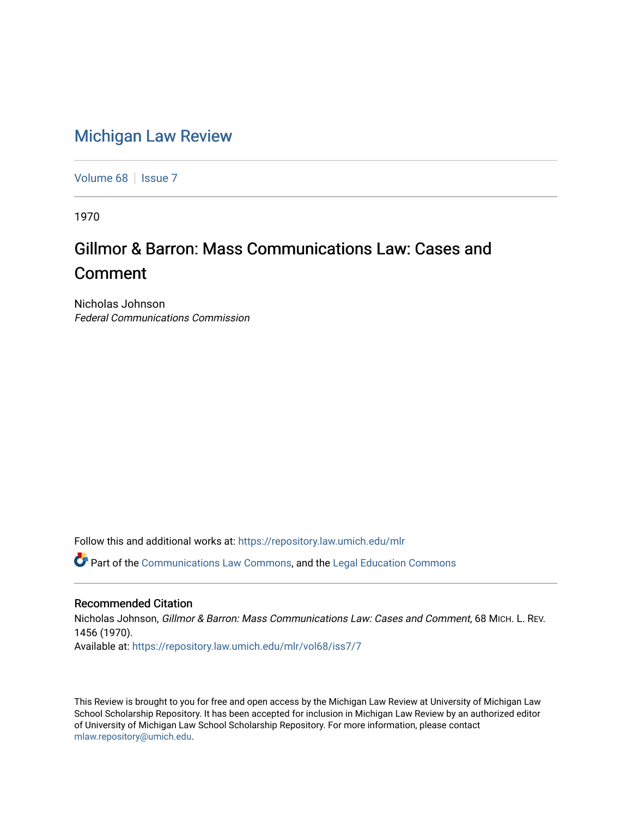## [Michigan Law Review](https://repository.law.umich.edu/mlr)

[Volume 68](https://repository.law.umich.edu/mlr/vol68) | [Issue 7](https://repository.law.umich.edu/mlr/vol68/iss7)

1970

# Gillmor & Barron: Mass Communications Law: Cases and Comment

Nicholas Johnson Federal Communications Commission

Follow this and additional works at: [https://repository.law.umich.edu/mlr](https://repository.law.umich.edu/mlr?utm_source=repository.law.umich.edu%2Fmlr%2Fvol68%2Fiss7%2F7&utm_medium=PDF&utm_campaign=PDFCoverPages) 

Part of the [Communications Law Commons,](http://network.bepress.com/hgg/discipline/587?utm_source=repository.law.umich.edu%2Fmlr%2Fvol68%2Fiss7%2F7&utm_medium=PDF&utm_campaign=PDFCoverPages) and the [Legal Education Commons](http://network.bepress.com/hgg/discipline/857?utm_source=repository.law.umich.edu%2Fmlr%2Fvol68%2Fiss7%2F7&utm_medium=PDF&utm_campaign=PDFCoverPages)

## Recommended Citation

Nicholas Johnson, Gillmor & Barron: Mass Communications Law: Cases and Comment, 68 MICH. L. REV. 1456 (1970). Available at: [https://repository.law.umich.edu/mlr/vol68/iss7/7](https://repository.law.umich.edu/mlr/vol68/iss7/7?utm_source=repository.law.umich.edu%2Fmlr%2Fvol68%2Fiss7%2F7&utm_medium=PDF&utm_campaign=PDFCoverPages)

This Review is brought to you for free and open access by the Michigan Law Review at University of Michigan Law School Scholarship Repository. It has been accepted for inclusion in Michigan Law Review by an authorized editor of University of Michigan Law School Scholarship Repository. For more information, please contact [mlaw.repository@umich.edu.](mailto:mlaw.repository@umich.edu)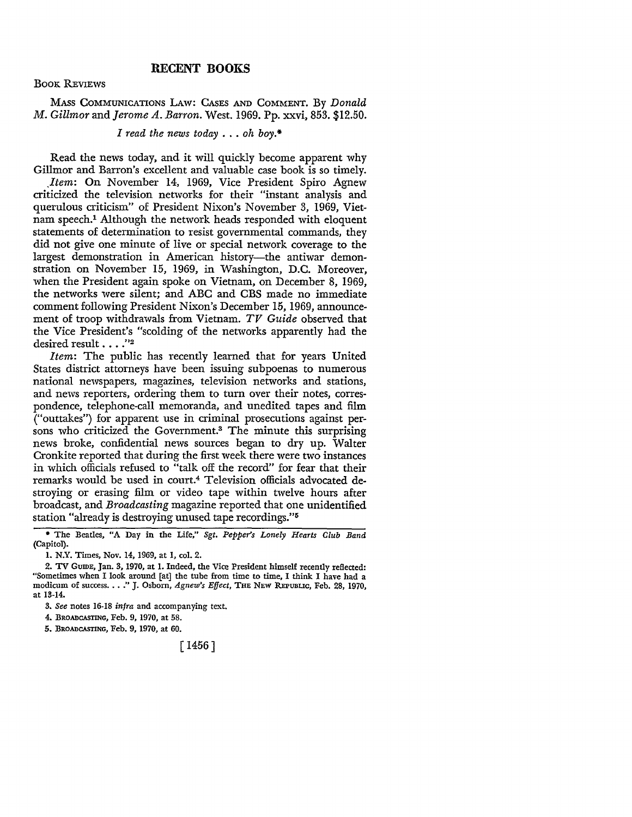## **RECENT BOOKS**

#### BooK REVIEWS

MASs COMMUNICATIONS LAw: CAsEs AND COMMENT. By *Donald M. Gillmor* and *Jerome A. Barron.* West. 1969. Pp. xxvi, 853. \$12.50.

### *I read the news today* ... *oh boy.•*

Read the news today, and it will quickly become apparent why Gillmor and Barron's excellent and valuable case book is so timely.

*Jtem:* **On** November 14, 1969, Vice President Spiro Agnew criticized the television networks for their "instant analysis and querulous criticism" of President Nixon's November 3, 1969, Vietnam speech.<sup>1</sup> Although the network heads responded with eloquent statements of determination to resist governmental commands, they did not give one minute of live or special network coverage to the largest demonstration in American history-the antiwar demonstration on November 15, 1969, in Washington, D.C. Moreover, when the President again spoke on Vietnam, on December 8, 1969, the networks were silent; and ABC and CBS made no immediate comment following President Nixon's December 15, 1969, announcement of troop withdrawals from Vietnam. *TV Guide* observed that the Vice President's "scolding of the networks apparently had the desired result ... .''<sup>2</sup>

*Item:* The public has recently learned that for years United States district attorneys have been issuing subpoenas to numerous national newspapers, magazines, television networks and stations, and news reporters, ordering them to turn over their notes, correspondence, telephone-call memoranda, and unedited tapes and film ("outtakes") for apparent use in criminal prosecutions against persons who criticized the Government.3 The minute this surprising news broke, confidential news sources began to dry up. Walter Cronkite reported that during the first week there were two instances in which officials refused to "talk off the record" for fear that their remarks would be used in court.4 Television officials advocated destroying or erasing film or video tape within twelve hours after broadcast, and *Broadcasting* magazine reported that one unidentified station "already is destroying unused tape recordings."<sup>5</sup>

5. BROADCASTING, Feb. 9, 1970, at 60.

[ 1456]

<sup>•</sup> The Beatles, "A Day in the Life," *Sgt. Pepper's Lonely Hearts Club Band*  (Capitol).

I. N.Y. Times, Nov. 14, 1969, at I, col. 2.

<sup>2.</sup> TV GumE, Jan. 3, 1970, at I. Indeed, the Vice President himself recently reflected: "Sometimes when I look around [at] the tube from time to time, I think I have had a modicum of success .••• " J. Osborn, *Agnew's Effect,* THE NEW REPUBUc, Feb. 28, 1970, at 13-14.

<sup>3.</sup> *See* notes 16-18 *infra* and accompanying text.

<sup>4.</sup> BROADCASTING, Feb. 9, 1970, at 58.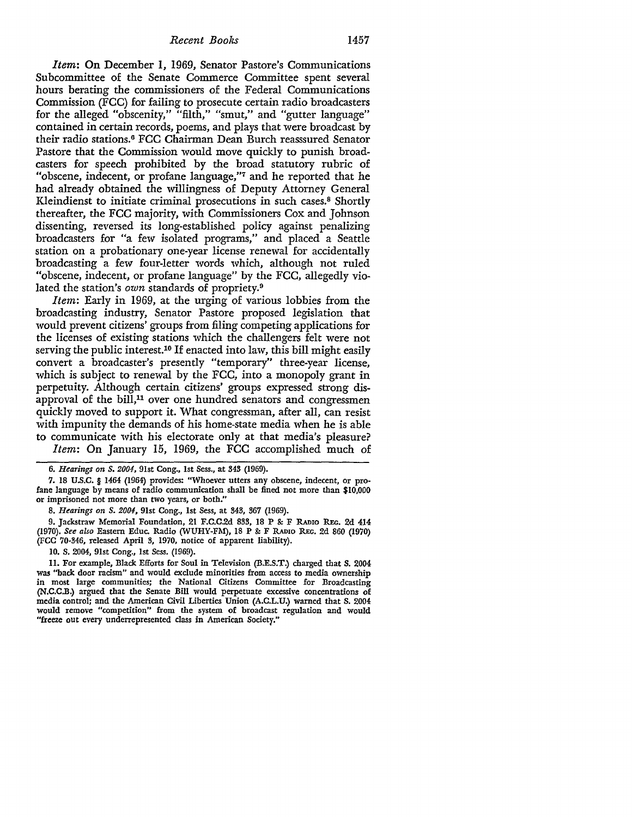*Item:* **On** December I, 1969, Senator Pastore's Communications Subcommittee of the Senate Commerce Committee spent several hours berating the commissioners of the Federal Communications Commission (FCC) for failing to prosecute certain radio broadcasters for the alleged "obscenity," "filth," "smut," and "gutter language" contained in certain records, poems, and plays that were broadcast by their radio stations.6 FCC Chairman Dean Burch reasssured Senator Pastore that the Commission would move quickly to punish broadcasters for speech prohibited by the broad statutory rubric of "obscene, indecent, or profane language,"7 and he reported that he had already obtained the willingness of Deputy Attorney General Kleindienst to initiate criminal prosecutions in such cases.8 Shortly thereafter, the FCC majority, with Commissioners Cox and Johnson dissenting, reversed its long-established policy against penalizing broadcasters for "a few isolated programs," and placed a Seattle station on a probationary one-year license renewal for accidentally broadcasting a few four-letter words which, although not ruled "obscene, indecent, or profane language" by the FCC, allegedly violated the station's *own* standards of propriety.<sup>9</sup>

*Item:* Early in 1969, at the urging of various lobbies from the broadcasting industry, Senator Pastore proposed legislation that would prevent citizens' groups from filing competing applications for the licenses of existing stations which the challengers felt were not serving the public interest.10 If enacted into law, this bill might easily convert a broadcaster's presently "temporary" three-year license, which is subject to renewal by the FCC, into a monopoly grant in perpetuity. Although certain citizens' groups expressed strong disapproval of the bill, $11$  over one hundred senators and congressmen quickly moved to support it. What congressman, after all, can resist with impunity the demands of his home-state media when he is able to communicate with his electorate only at that media's pleasure? *Item:* On January 15, 1969, the FCC accomplished much of

<sup>6.</sup> *Hearings on S. 2001,* 91st Cong., 1st Sess., at 343 (1969).

<sup>7. 18</sup> U.S.C. § 1464 (1964) provides: "Whoever utters any obscene, indecent, or profane language by means of radio communication shall be fined not more than \$10,000 or imprisoned not more than two years, or both."

<sup>8.</sup> *Hearings on S. 2001,* 91st Cong., 1st Sess, at 343, 367 (1969).

<sup>9.</sup> Jackstraw Memorial Foundation, 21 F.C.C.2d 833, 18 P & F RADIO REG. 2d 414 (1970). *See also* Eastern Educ. Radio (WUHY-FM), 18 P &: F RADIO REG. 2d 860 (1970) (FCC 70-346, released April 3, 1970, notice of apparent liability).

<sup>10.</sup> S. 2004, 91st Cong., 1st Sess. (1969).

<sup>11.</sup> For example, Black Efforts for Soul in Television (B.E.S.T.) charged that S. 2004 was "back door racism" and would exclude minorities from access to media ownership in most large communities; the National Citizens Committee for Broadcasting (N.C.C.B.) argued that the Senate Bill would perpetuate excessive concentrations of media control; and the American Civil Liberties Union (A.C.L.U.) warned that S. 2004 would remove "competition" from the system of broadcast regulation and would "freeze out every underrepresented class in American Society."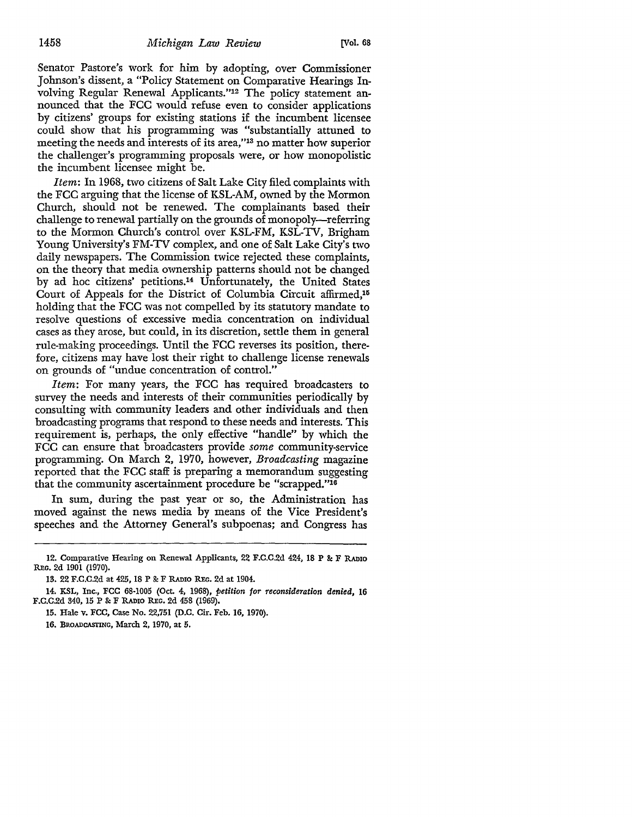Senator Pastore's work for him by adopting, over Commissioner Johnson's dissent, a "Policy Statement on Comparative Hearings Involving Regular Renewal Applicants."12 The policy statement announced that the FCC would refuse even to consider applications by citizens' groups for existing stations if the incumbent licensee could show that his programming was "substantially attuned to meeting the needs and interests of its area,"13 no matter how superior the challenger's programming proposals were, or how monopolistic the incumbent licensee might be.

*Item:* In 1968, two citizens of Salt Lake City filed complaints with the FCC arguing that the license of KSL-AM, owned by the Mormon Church, should not be renewed. The complainants based their challenge to renewal partially on the grounds of monopoly-referring to the Mormon Church's control over KSL-FM, KSL-TV, Brigham Young University's FM-TV complex, and one of Salt Lake City's two daily newspapers. The Commission twice rejected these complaints, on the theory that media ownership patterns should not be changed by ad hoc citizens' petitions.14 Unfortunately, the United States Court of Appeals for the District of Columbia Circuit affirmed,<sup>15</sup> holding that the FCC was not compelled by its statutory mandate to resolve questions of excessive media concentration on individual cases as they arose, but could, in its discretion, settle them in general rule-making proceedings. Until the FCC reverses its position, therefore, citizens may have lost their right to challenge license renewals on grounds of "undue concentration of control."

*Item:* For many years, the FCC has required broadcasters to survey the needs and interests of their communities periodically by consulting with community leaders and other individuals and then broadcasting programs that respond to these needs and interests. This requirement is, perhaps, the only effective "handle" by which the FCC can ensure that broadcasters provide *some* community-service programming. On March 2, 1970, however, *Broadcasting* magazine reported that the FCC staff is preparing a memorandum suggesting that the community ascertainment procedure be "scrapped."16

In sum, during the past year or so, the Administration has moved against the news media by means of the Vice President's speeches and the Attorney General's subpoenas; and Congress has

14. KSL, Inc., FCC 68-1005 (Oct. 4, 1968), *petition for reconsideration denied,* 16 F.C.C.2d 340, 15 P & F RADIO REG. 2d 458 (1969).

<sup>12.</sup> Comparative Hearing on Renewal Applicants, 22 F.C.C.2d 424, 18 P & F RADIO REG. 2d 1901 (1970).

<sup>13. 22</sup> F.C.C.2d at 425, 18 P & F RADIO REG. 2d at 1904.

<sup>15.</sup> Hale v. FCC, Case No. 22,751 (D.C. Cir. Feb. 16, 1970).

<sup>16.</sup> BROADCASTING, March 2, 1970, at 5.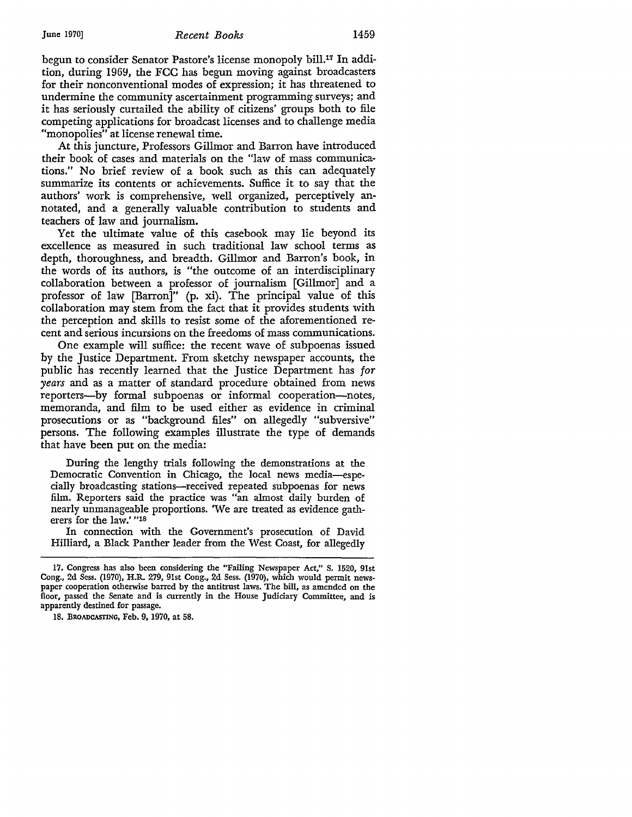begun to consider Senator Pastore's license monopoly bill.17 In addition, during 1969, the FCC has begun moving against broadcasters for their nonconventional modes of expression; it has threatened to undermine the community ascertainment programming surveys; and it has seriously curtailed the ability of citizens' groups both to file competing applications for broadcast licenses and to challenge media "monopolies" at license renewal time.

At this juncture, Professors Gillmor and Barron have introduced their book of cases and materials on the "law of mass communications." No brief review of a book such as this can adequately summarize its contents or achievements. Suffice it to say that the authors' work is comprehensive, well organized, perceptively annotated, and a generally valuable contribution to students and teachers of law and journalism.

Yet the ultimate value of this casebook may lie beyond its excellence as measured in such traditional law school terms as depth, thoroughness, and breadth. Gillmor and Barron's book, in the words of its authors, is "the outcome of an interdisciplinary collaboration between a professor of journalism [Gillmor] and a professor of law [Barron]" (p. xi). The principal value of this collaboration may stem from the fact that it provides students with the perception and skills to resist some of the aforementioned recent and serious incursions on the freedoms of mass communications.

One example will suffice: the recent wave of subpoenas issued by the Justice Department. From sketchy newspaper accounts, the public has recently learned that the Justice Department has *for years* and as a matter of standard procedure obtained from news reporters--by formal subpoenas or informal cooperation--notes, memoranda, and film to be used either as evidence in criminal prosecutions or as "background files" on allegedly "subversive" persons. The following examples illustrate the type of demands that have been put on the media:

During the lengthy trials following the demonstrations at the Democratic Convention in Chicago, the local news media-especially broadcasting stations-received repeated subpoenas for news film. Reporters said the practice was "an almost daily burden of nearly unmanageable proportions. 'We are treated as evidence gatherers for the law.' "18

In connection with the Government's prosecution of David Hilliard, a Black Panther leader from the West Coast, for allegedly

<sup>17.</sup> Congress has also been considering the "Failing Newspaper Act," S. 1520, 91st Cong., 2d Sess. (1970), H.R. 279, 91st Cong., 2d Sess. (1970), which would permit newspaper cooperation otherwise barred by the antitrust laws. The bill, as amended on the floor, passed the Senate and is currently in the House Judiciary Committee, and is apparently destined for passage.

<sup>18.</sup> BROADCASTING, Feb. 9, 1970, at 58.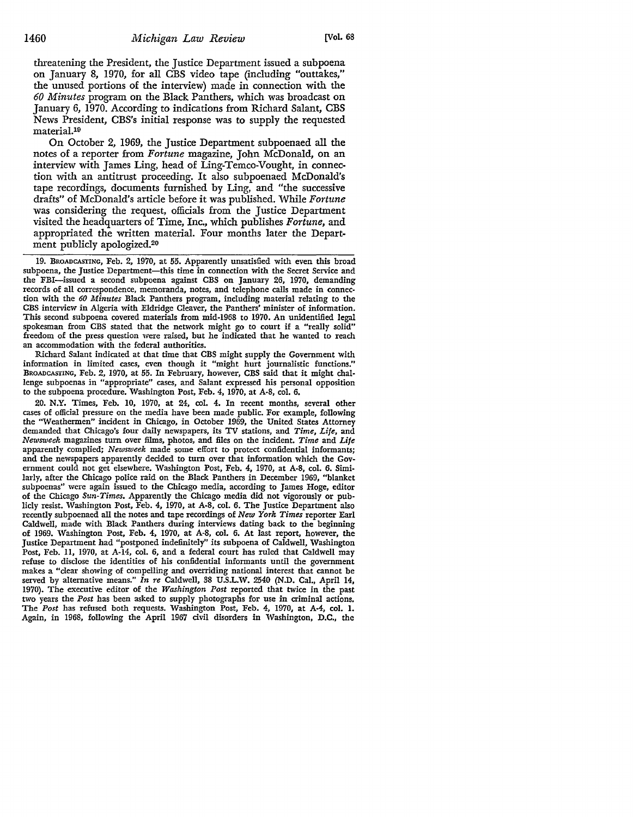threatening the President, the Justice Department issued a subpoena on January *8, 1970,* for all CBS video tape (including "outtakes," the unused portions of the interview) made in connection with the *60 Minutes* program on the Black Panthers, which was broadcast on January 6, 1970. According to indications from Richard Salant, CBS News President, CBS's initial response was to supply the requested material.19

On October 2, 1969, the Justice Department subpoenaed all the notes of a reporter from *Fortune* magazine, John McDonald, on an interview with James Ling, head of Ling-Temco-Vought, in connection with an antitrust proceeding. It also subpoenaed McDonald's tape recordings, documents furnished by Ling, and "the successive drafts" of McDonald's article before it was published. While *Fortune*  was considering the request, officials from the Justice Department visited the headquarters of Time, Inc., which publishes *Fortune,* and appropriated the written material. Four months later the Department publicly apologized.20

Richard Salant indicated at that time that CBS might supply the Government with information in limited cases, even though it "might hurt journalistic functions." BROADCASTING, Feb. 2, 1970, at 55. In February, however, CBS said that it might challenge subpoenas in "appropriate" cases, and Salant expressed his personal opposition to the subpoena procedure. Washington Post, Feb. 4, 1970, at A-8, col. 6.

20. N.Y. Times, Feb. 10, 1970, at 24, col. 4. In recent months, several other cases of official pressure on the media have been made public. For example, following the "Weathermen" incident in Chicago, in October 1969, the United States Attorney demanded that Chicago's four daily newspapers, its TV stations, and *Time, Life,* and *Newsweek* magazines tum over films, photos, and files on the incident. *Time* and *Life*  apparently complied; *Newsweek* made some effort to protect confidential informants; and the newspapers apparently decided to tum over that information which the Government could not get elsewhere. Washington Post, Feb. 4, 1970, at A-8, col. 6. Similarly, after the Chicago police raid on the Black Panthers in December 1969, "blanket subpoenas" were again issued to the Chicago media, according to James Hoge, editor of the Chicago *Sun-Times.* Apparently the Chicago media did not vigorously or publicly resist. Washington Post, Feb. 4, 1970, at A-8, col. 6. The Justice Department also recently subpoenaed all the notes and tape recordings of *New York Times* reporter Earl Caldwell, made with Black Panthers during interviews dating back to the beginning of 1969. Washington Post, Feb. 4, 1970, at A-8, col. 6. At last report, however, the Justice Department had "postponed indefinitely" its subpoena of Caldwell, Washington Post, Feb. 11, 1970, at A-14, col. 6, and a federal court has ruled that Caldwell may refuse to disclose the identities of his confidential informants until the government makes a "clear showing of compelling and overriding national interest that cannot be served by alternative means.'' *In re* Caldwell, 38 U.S.L.W. 2540 (N.D. Cal., April 14, 1970). The executive editor of the *Washington Post* reported that twice in the past two years the *Post* has been asked to supply photographs for use in criminal actions. The *Post* has refused both requests. Washington Post, Feb. 4, 1970, at A-4, col. 1. Again, in 1968, following the April 1967 civil disorders in Washington, D.C., the

<sup>19.</sup> BROADCASTING, Feb. 2, 1970, at 55. Apparently unsatisfied with even this broad subpoena, the Justice Department-this time in connection with the Secret Service and the FBI-issued a second subpoena against CBS on January 26, 1970, demanding records of all correspondence, memoranda, notes, and telephone calls made in connection with the *60 Minutes* Black Panthers program, including material relating to the CBS interview in Algeria with Eldridge Cleaver, the Panthers' minister of information. This second subpoena covered materials from mid-1968 to 1970. An unidentified legal spokesman from CBS stated that the network might go to court if a "really solid" freedom of the press question were raised, but he indicated that he wanted to reach an accommodation with the federal authorities.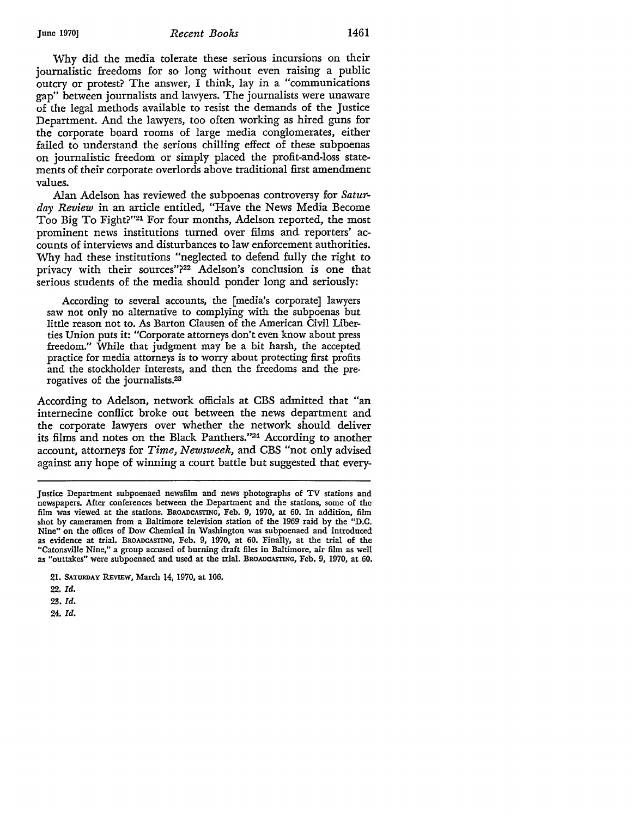#### June 1970] *Recent Books* 1461

Why did the media tolerate these serious incursions on their journalistic freedoms for so long without even raising a public outcry or protest? The answer, I think, lay in a "communications gap" between journalists and lawyers. The journalists were unaware of the legal methods available to resist the demands of the Justice Department. And the lawyers, too often working as hired guns for the corporate board rooms of large media conglomerates, either failed to understand the serious chilling effect of these subpoenas on journalistic freedom or simply placed the profit-and-loss statements of their corporate overlords above traditional first amendment values.

Alan Adelson has reviewed the subpoenas controversy for *Saturday Review* in an article entitled, "Have the News Media Become Too Big To Fight?"21 For four months, Adelson reported, the most prominent news institutions turned over films and reporters' accounts of interviews and disturbances to law enforcement authorities. Why had these institutions "neglected to defend fully the right to privacy with their sources"?22 Adelson's conclusion is one that serious students of the media should ponder long and seriously:

According to several accounts, the [media's corporate] lawyers saw not only no alternative to complying with the subpoenas but little reason not to. As Barton Clausen of the American Civil Liberties Union puts it: "Corporate attorneys don't even know about press freedom." While that judgment may be a bit harsh, the accepted practice for media attorneys is to worry about protecting first profits and the stockholder interests, and then the freedoms and the prerogatives of the joumalists.23

According to Adelson, network officials at CBS admitted that "an internecine conflict broke out between the news department and the corporate lawyers over whether the network should deliver its films and notes on the Black Panthers."24 According to another account, attorneys for *Time, Newsweek,* and CBS "not only advised against any hope of winning a court battle but suggested that every-

22. *Id.* 

23. Id.

24. *Id.* 

Justice Department subpoenaed newsfilm and news photographs of TV stations and newspapers. After conferences between the Department and the stations, some of the film was viewed at the stations. BROADCASTING, Feb. 9, 1970, at 60. In addition, film shot by cameramen from a Baltimore television station of the 1969 raid by the "D.C. Nine" on the offices of Dow Chemical in Washington was subpoenaed and introduced as evidence at trial. BROADCASTING, Feb. 9, 1970, at 60. Finally, at the trial of the "Catonsville Nine,•• a group accused of burning draft files in Baltimore, air film as well as "outtakes" were subpoenaed and used at the trial. BROADCASTING, Feb. 9, 1970, at 60.

<sup>21.</sup> SATURDAY REVIEW, March 14, 1970, at 106.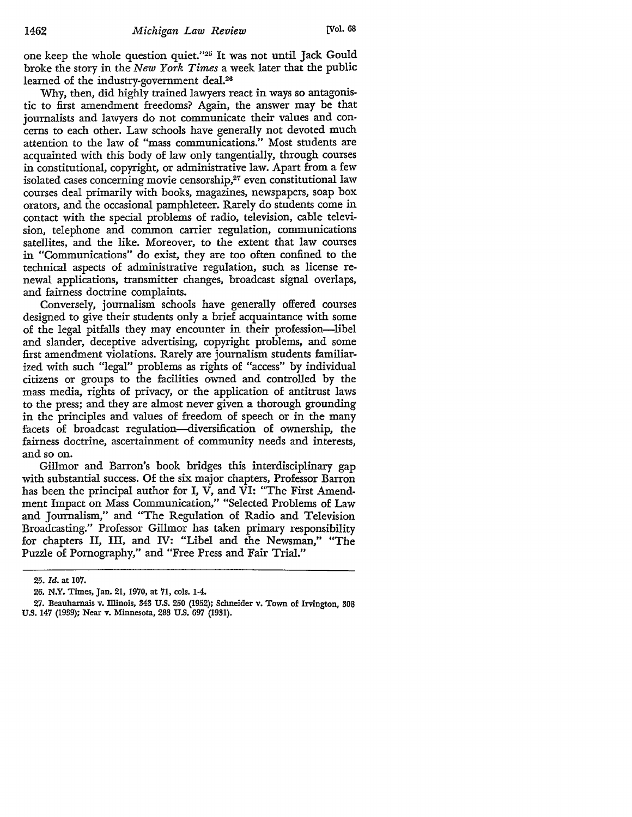one keep the whole question quiet."25 It was not until Jack Gould broke the story in the *New York Times* a week later that the public learned of the industry-government deal.<sup>26</sup>

Why, then, did highly trained lawyers react in ways so antagonistic to first amendment freedoms? Again, the answer may be that journalists and lawyers do not communicate their values and concerns to each other. Law schools have generally not devoted much attention to the law of "mass communications." Most students are acquainted with this body of law only tangentially, through courses in constitutional, copyright, or administrative law. Apart from a few isolated cases concerning movie censorship,<sup>27</sup> even constitutional law courses deal primarily with books, magazines, newspapers, soap box orators, and the occasional pamphleteer. Rarely do students come in contact with the special problems of radio, television, cable television, telephone and common carrier regulation, communications satellites, and the like. Moreover, to the extent that law courses in "Communications" do exist, they are too often confined to the technical aspects of administrative regulation, such as license renewal applications, transmitter changes, broadcast signal overlaps, and fairness doctrine complaints.

Conversely, journalism schools have generally offered courses designed to give their students only a brief acquaintance with some of the legal pitfalls they may encounter in their profession-libel and slander, deceptive advertising, copyright problems, and some first amendment violations. Rarely are journalism students familiarized with such "legal" problems as rights of "access" by individual citizens or groups to the facilities owned and controlled by the mass media, rights of privacy, or the application of antitrust laws to the press; and they are almost never given a thorough grounding in the principles and values of freedom of speech or in the many facets of broadcast regulation-diversification of ownership, the fairness doctrine, ascertainment of community needs and interests, and so on.

Gillmor and Barron's book bridges this interdisciplinary gap with substantial success. Of the six major chapters, Professor Barron has been the principal author for I, V, and VI: "The First Amendment Impact on Mass Communication," "Selected Problems of Law and Journalism," and "The Regulation of Radio and Television Broadcasting." Professor Gillmor has taken primary responsibility for chapters II, III, and IV: "Libel and the Newsman," "The Puzzle of Pornography," and "Free Press and Fair Trial."

<sup>25.</sup> *Id.* at 107.

<sup>26.</sup> **N.Y.** Times, Jan. 21, 1970, at 71, cols. 1-4.

<sup>27.</sup> Beauharnais v. Illinois, 343 U.S. 250 (1952); Schneider v. Town of Irvington, 308 U.S. 147 (1939); Near v. Minnesota, 283 U.S. 697 (1931).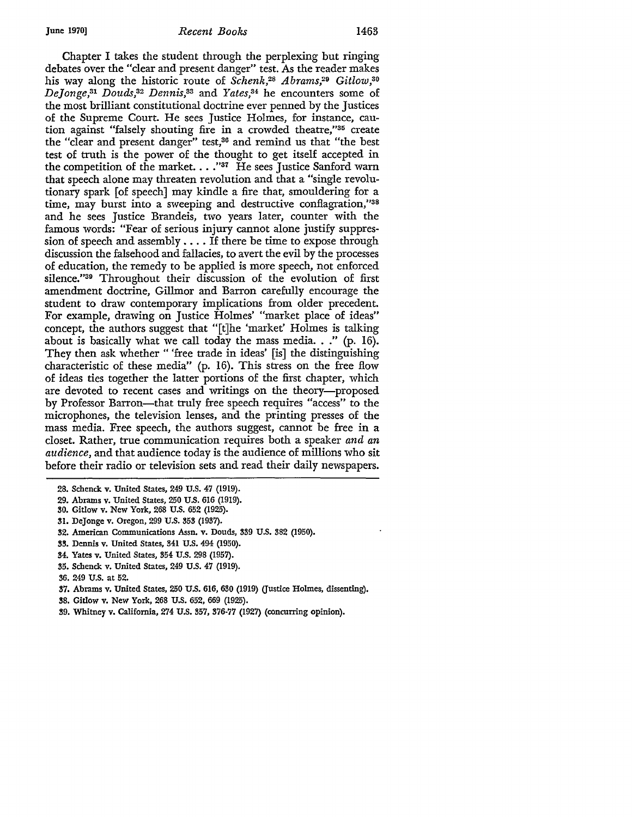Chapter I takes the student through the perplexing but ringing debates over the "clear and present danger" test. As the reader makes his way along the historic route of *Schenk,28 Abrams,29 Gitlow,3*o *De]onge,31 Douds,32 Dennis,33* and *Yates,34* he encounters some of the most brilliant constitutional doctrine ever penned by the Justices of the Supreme Court. He sees Justice Holmes, for instance, caution against "falsely shouting fire in a crowded theatre,"35 create the "clear and present danger" test,36 and remind us that "the best test of truth is the power of the thought to get itself accepted in the competition of the market.  $\dots$  "37 He sees Justice Sanford warn that speech alone may threaten revolution and that a "single revolutionary spark [of speech] may kindle a fire that, smouldering for a time, may burst into a sweeping and destructive conflagration,''38 and he sees Justice Brandeis, two years later, counter with the famous words: "Fear of serious injury cannot alone justify suppression of speech and assembly .... If there be time to expose through discussion the falsehood and fallacies, to avert the evil by the processes of education, the remedy to be applied is more speech, not enforced silence."39 Throughout their discussion of the evolution of first amendment doctrine, Gillmor and Barron carefully encourage the student to draw contemporary implications from older precedent. For example, drawing on Justice Holmes' "market place of ideas" concept, the authors suggest that "[t]he 'market' Holmes is talking about is basically what we call today the mass media..." (p. 16). They then ask whether " 'free trade in ideas' [is] the distinguishing characteristic of these media" (p. 16). This stress on the free flow of ideas ties together the latter portions of the first chapter, which are devoted to recent cases and writings on the theory-proposed by Professor Barron---that truly free speech requires "access" to the microphones, the television lenses, and the printing presses of the mass media. Free speech, the authors suggest, cannot be free in a closet. Rather, true communication requires both a speaker *and an audience,* and that audience today is the audience of millions who sit before their radio or television sets and read their daily newspapers.

- 31. DeJonge v. Oregon, 299 U.S. 353 (1937).
- 32. American Communications Assn. v. Douds, 339 U.S. 382 (1950).
- 33. Dennis v. United States, 341 U.S. 494 (1950).
- 34. Yates v. United States, 354 U.S. 298 (1957).
- 35. Schenck v. United States, 249 U.S. 47 (1919).
- 36. 249 U.S. at 52.
- 37. Abrams v. United States, 250 U.S. 616, 630 (1919) (Justice Holmes, dissenting).
- 38. Gitlow v. New York, 268 U.S. 652, 669 (1925).
- 39. Whitney v. California, 274 U.S. 357, 376-77 (1927) (concurring opinion).

<sup>28.</sup> Schenck v. United States, 249 U.S. 47 (1919).

<sup>29.</sup> Abrams v. United States, 250 U.S. 616 (1919).

<sup>30.</sup> Gitlow v. New York, 268 U.S. 652 (1925).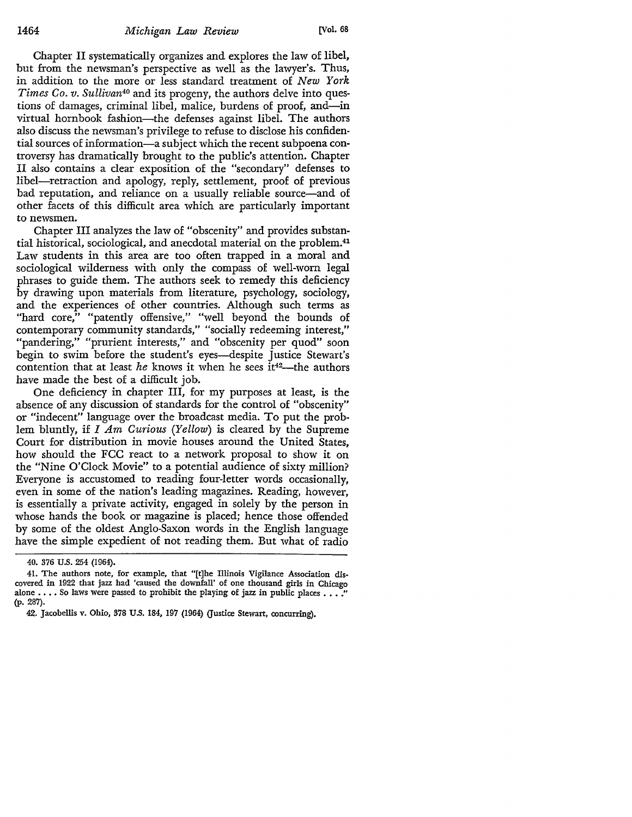Chapter II systematically organizes and explores the law of libel, but from the newsman's perspective as well as the lawyer's. Thus, in addition to the more or less standard treatment of *New York Times Co. v. Sullivan*<sup>40</sup> and its progeny, the authors delve into questions of damages, criminal libel, malice, burdens of proof, and—in virtual hornbook fashion—the defenses against libel. The authors also discuss the newsman's privilege to refuse to disclose his confidential sources of information-a subject which the recent subpoena controversy has dramatically brought to the public's attention. Chapter II also contains a clear exposition of the "secondary" defenses to libel-retraction and apology, reply, settlement, proof of previous bad reputation, and reliance on a usually reliable source—and of other facets of this difficult area which are particularly important to newsmen.

Chapter III analyzes the law of "obscenity" and provides substantial historical, sociological, and anecdotal material on the problem.41 Law students in this area are too often trapped in a moral and sociological wilderness with only the compass of well-worn legal phrases to guide them. The authors seek to remedy this deficiency by drawing upon materials from literature, psychology, sociology, and the experiences of other countries. Although such terms as "hard core," "patently offensive," "well beyond the bounds of contemporary community standards," "socially redeeming interest," "pandering," "prurient interests," and "obscenity per quod" soon begin to swim before the student's eyes—despite Justice Stewart's contention that at least *he* knows it when he sees it<sup>42</sup>—the authors have made the best of a difficult job.

One deficiency in chapter III, for my purposes at least, is the absence of any discussion of standards for the control of "obscenity" or "indecent" language over the broadcast media. To put the problem bluntly, if *I Am Curious (Yellow)* is cleared by the Supreme Court for distribution in movie houses around the United States, how should the FCC react to a network proposal to show it on the "Nine O'Clock Movie" to a potential audience of sixty million? Everyone is accustomed to reading four-letter words occasionally, even in some of the nation's leading magazines. Reading, however, is essentially a private activity, engaged in solely by the person in whose hands the book or magazine is placed; hence those offended by some of the oldest Anglo-Saxon words in the English language have the simple expedient of not reading them. But what of radio

<sup>40. 376</sup> U.S. 254 (1964).

<sup>41.</sup> The authors note, for example, that "[t]he Illinois Vigilance Association dis• covered in 1922 that jazz had 'caused the downfall' of one thousand girls in Chicago alone  $\dots$  So laws were passed to prohibit the playing of jazz in public places  $\dots$ . (p. 287).

<sup>42.</sup> Jacobellis v. Ohio, 378 U.S. 184, 197 (1964) Q'ustice Stewart, concurring).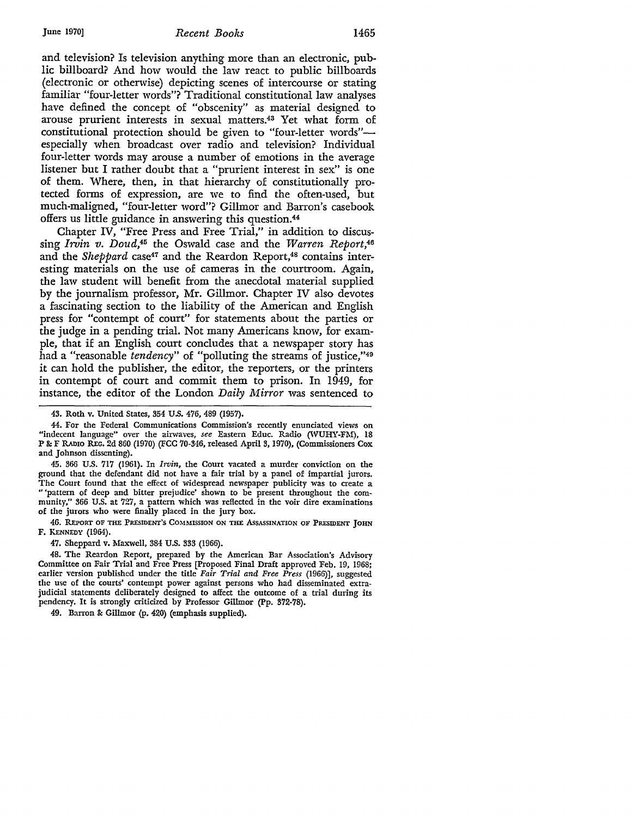#### June 1970] *Recent Books* 1465

and television? Is television anything more than an electronic, public billboard? And how would the law react to public billboards (electronic or otherwise) depicting scenes of intercourse or stating familiar "four-letter words"? Traditional constitutional law analyses have defined the concept of "obscenity" as material designed to arouse prurient interests in sexual matters.43 Yet what form of constitutional protection should be given to "four-letter words"especially when broadcast over radio and television? Individual four-letter words may arouse a number of emotions in the average listener but I rather doubt that a "prurient interest in sex" is one of them. Where, then, in that hierarchy of constitutionally protected forms of expression, are we to find the often-used, but much-maligned, "four-letter word"? Gillmor and Barron's casebook offers us little guidance in answering this question.<sup>44</sup>

Chapter IV, "Free Press and Free Trial," in addition to discussing *Irvin v. Doud,45* the Oswald case and the *Warren Report,46*  and the *Sheppard* case<sup>47</sup> and the Reardon Report,<sup>48</sup> contains interesting materials on the use of cameras in the courtroom. Again, the law student will benefit from the anecdotal material supplied by the journalism professor, Mr. Gillmor. Chapter IV also devotes a fascinating section to the liability of the American and English press for "contempt of court" for statements about the parties or the judge in a pending trial. Not many Americans know, for example, that if an English court concludes that a newspaper story has had a "reasonable *tendency"* of "polluting the streams of justice,"49 it can hold the publisher, the editor, the reporters, or the printers in contempt of court and commit them to prison. In 1949, for instance, the editor of the London *Daily Mirror* was sentenced to

45. 366 U.S. 717 (1961). In *Irvin,* the Court vacated a murder conviction on the ground that the defendant did not have a fair trial by a panel of impartial jurors. The Court found that the effect of widespread newspaper publicity was to create a " 'pattern of deep and bitter prejudice' shown to be present throughout the community," 366 U.S. at 727, a pattern which was reflected in the voir dire examinations of the jurors who were finally placed in the jury box.

46. REPORT OF THE PRESIDENT'S COMMISSION ON THE AsSASSINATION OF PRESIDENT JOHN F. KENNEDY (1964).

47. Sheppard v. Maxwell, 384 U.S. 333 (1966).

48. The Reardon Report, prepared by the American Bar Association's Advisory Committee on Fair Trial and Free Press [Proposed Final Draft approved Feb. 19, 1968; earlier version published under the title *Fair Trial and Free Press* (1966)], suggested the use of the courts' contempt power against persons who had disseminated extrajudicial statements deliberately designed to affect the outcome of a trial during its pendency. It is strongly criticized by Professor Gillmor (Pp. 372-78).

49. Barron & Gillmor (p. 420) (emphasis supplied).

<sup>43.</sup> Roth v. United States, 354 U.S. 476, 489 (1957).

<sup>44.</sup> For the Federal Communications Commission's recently enunciated views on "indecent language" over the airwaves, see Eastern Educ. Radio (WUHY-FM), 18 **P 8:** F RADIO R.Ec. 2d 860 (1970) (FCC 70-346, released April 3, 1970), (Commissioners Cox and Johnson dissenting).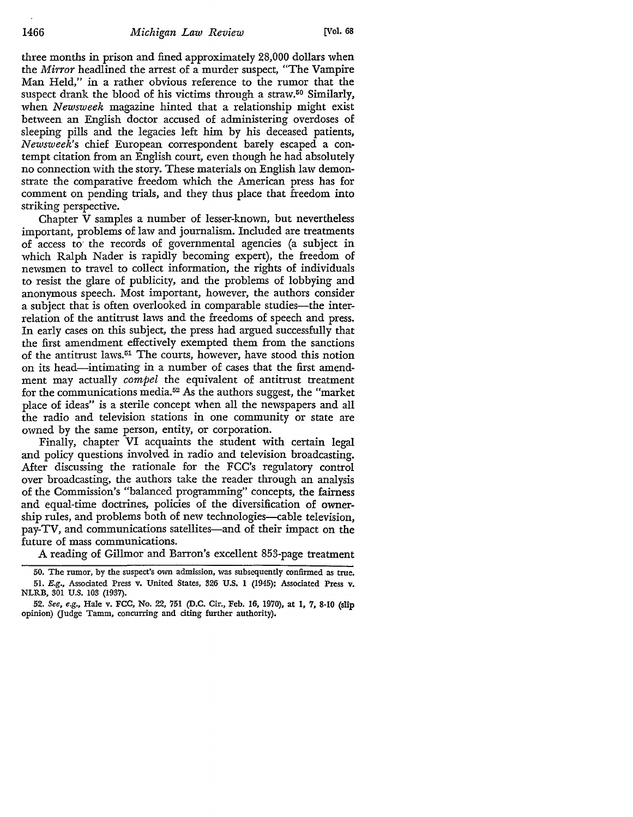three months in prison and fined approximately 28,000 dollars when the *Mirror* headlined the arrest of a murder suspect, "The Vampire Man Held," in a rather obvious reference to the rumor that the suspect drank the blood of his victims through a straw.<sup>50</sup> Similarly, when *Newsweek* magazine hinted that a relationship might exist between an English doctor accused of administering overdoses of sleeping pills and the legacies left him by his deceased patients, *Newsweek's* chief European correspondent barely escaped a contempt citation from an English court, even though he had absolutely no connection with the story. These materials on English law demonstrate the comparative freedom which the American press has for comment on pending trials, and they thus place that freedom into striking perspective.

Chapter V samples a number of lesser-known, but nevertheless important, problems of law and journalism. Included are treatments of access to- the records of governmental agencies (a subject in which Ralph Nader is rapidly becoming expert), the freedom of newsmen to travel to collect information, the rights of individuals to resist the glare of publicity, and the problems of lobbying and anonymous speech. Most important, however, the authors consider a subject that is often overlooked in comparable studies-the interrelation of the antitrust laws and the freedoms of speech and press. In early cases on this subject, the press had argued successfully that the first amendment effectively exempted them from the sanctions of the antitrust laws.51 The courts, however, have stood this notion on its head-intimating in a number of cases that the first amendment may actually *compel* the equivalent of antitrust treatment for the communications media. 52 As the authors suggest, the "market place of ideas" is a sterile concept when all the newspapers and all the radio and television stations in one community or state are owned by the same person, entity, or corporation.

Finally, chapter VI acquaints the student with certain legal and policy questions involved in radio and television broadcasting. After discussing the rationale for the FCC's regulatory control over broadcasting, the authors take the reader through an analysis of the Commission's "balanced programming" concepts, the fairness and equal-time doctrines, policies of the diversification of ownership rules, and problems both of new technologies—cable television, pay-TV, and communications satellites—and of their impact on the future of mass communications.

A reading of Gillmor and Barron's excellent 853-page treatment

<sup>50.</sup> The rumor, by the suspect's own admission, was subsequently confirmed as true. 51. E.g., Associated Press v. United States, 326 U.S. 1 (1945); Associated Press v. NLRB, 301 U.S. 103 (1937).

<sup>52.</sup> *See, e.g.,* Hale v. FCC, No. 22, 751 (D.C. Cir., Feb. 16, 1970), at 1, 7, 8·10 (slip opinion) (Judge Tamm, concurring and citing further authority).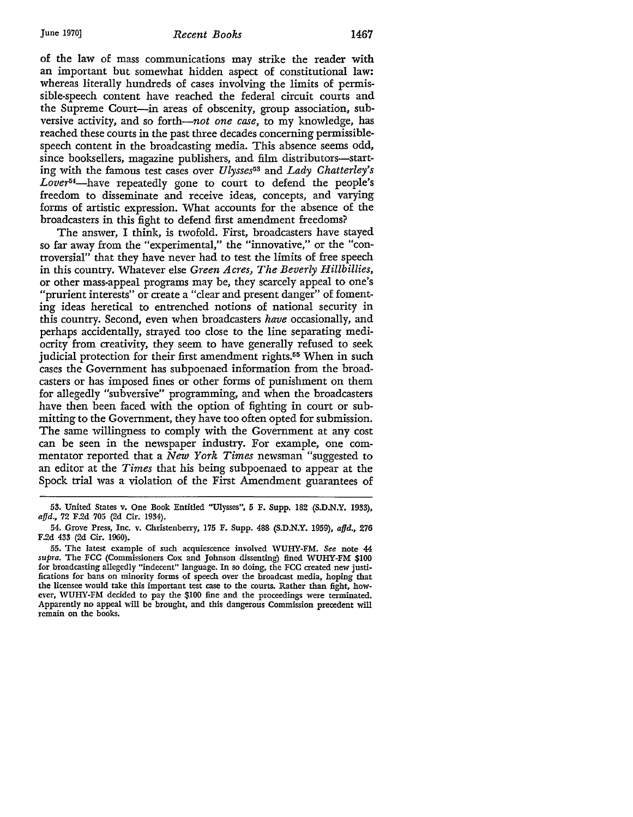## June 1970] *Recent Books* 1467

of the law of mass communications may strike the reader with an important but somewhat hidden aspect of constitutional law: whereas literally hundreds of cases involving the limits of permissible-speech content have reached the federal circuit courts and the Supreme Court-in areas of obscenity, group association, subversive activity, and so forth-*not one case*, to my knowledge, has reached these courts in the past three decades concerning permissiblespeech content in the broadcasting media. This absence seems odd, since booksellers, magazine publishers, and film distributors-starting with the famous test cases over *Ulysses*53 and *Lady Chatterley's*  Lover<sup>54</sup>-have repeatedly gone to court to defend the people's freedom to disseminate and receive ideas, concepts, and varying forms of artistic expression. What accounts for the absence of the broadcasters in this fight to defend first amendment freedoms?

The answer, I think, is twofold. First, broadcasters have stayed so far away from the "experimental," the "innovative," or the "controversial" that they have never had to test the limits of free speech in this country. Whatever else *Green Acres, The Beverly Hillbillies,*  or other mass-appeal programs may be, they scarcely appeal to one's "prurient interests" or create a "clear and present danger" of fomenting ideas heretical to entrenched notions of national security in this country. Second, even when broadcasters *have* occasionally, and perhaps accidentally, strayed too close to the line separating mediocrity from creativity, they seem to have generally refused to seek judicial protection for their first amendment rights.<sup>55</sup> When in such cases the Government has subpoenaed information from the broadcasters or has imposed fines or other forms of punishment on them for allegedly "subversive" programming, and when the broadcasters have then been faced with the option of fighting in court or submitting to the Government, they have too often opted for submission. The same willingness to comply with the Government at any cost can be seen in the newspaper industry. For example, one commentator reported that a *New York Times* newsman "suggested to an editor at the *Times* that his being subpoenaed to appear at the Spock trial was a violation of the First Amendment guarantees of

<sup>53.</sup> United States v. One Book Entitled "Ulysses", 5 F. Supp. 182 (S.D.N.Y. 1933), *affd.,* 72 F.2d 705 (2d Cir. 1934).

<sup>54.</sup> Grove Press, Inc. v. Christenberry, 175 F. Supp. 488 (S.D.N.Y. 1959), *afjd.,* 276 F.2d 433 (2d Cir. 1960).

<sup>55.</sup> The latest example of such acquiescence involved WUHY-FM. See note 44 *supra.* The FCC (Commissioners Cox and Johnson dissenting) fined WUHY-FM \$100 for broadcasting allegedly "indecent" language. In so doing, the FCC created new justifications for bans on minority forms of speech over the broadcast media, hoping that the licensee would take this important test case to the courts. Rather than fight, however, WUHY-FM decided to pay the \$100 fine and the proceedings were terminated. Apparently no appeal will be brought, and this dangerous Commission precedent will remain on the books.